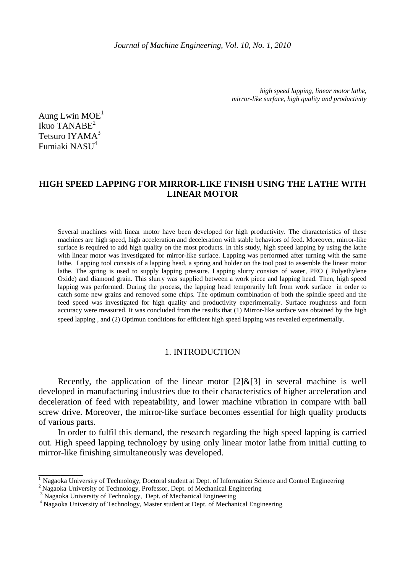*Journal of Machine Engineering, Vol. 10, No. 1, 2010*

*high speed lapping, linear motor lathe, mirror-like surface, high quality and productivity* 

Aung Lwin  $MOE<sup>1</sup>$ Ikuo TANABE<sup>2</sup> Tetsuro IYAMA<sup>3</sup> Fumiaki NASU<sup>4</sup>

\_\_\_\_\_\_\_\_\_\_

# **HIGH SPEED LAPPING FOR MIRROR-LIKE FINISH USING THE LATHE WITH LINEAR MOTOR**

Several machines with linear motor have been developed for high productivity. The characteristics of these machines are high speed, high acceleration and deceleration with stable behaviors of feed. Moreover, mirror-like surface is required to add high quality on the most products. In this study, high speed lapping by using the lathe with linear motor was investigated for mirror-like surface. Lapping was performed after turning with the same lathe. Lapping tool consists of a lapping head, a spring and holder on the tool post to assemble the linear motor lathe. The spring is used to supply lapping pressure. Lapping slurry consists of water, PEO ( Polyethylene Oxide) and diamond grain. This slurry was supplied between a work piece and lapping head. Then, high speed lapping was performed. During the process, the lapping head temporarily left from work surface in order to catch some new grains and removed some chips. The optimum combination of both the spindle speed and the feed speed was investigated for high quality and productivity experimentally. Surface roughness and form accuracy were measured. It was concluded from the results that (1) Mirror-like surface was obtained by the high speed lapping , and (2) Optimun conditions for efficient high speed lapping was revealed experimentally.

# 1. INTRODUCTION

Recently, the application of the linear motor  $[2] & [3]$  in several machine is well developed in manufacturing industries due to their characteristics of higher acceleration and deceleration of feed with repeatability, and lower machine vibration in compare with ball screw drive. Moreover, the mirror-like surface becomes essential for high quality products of various parts.

In order to fulfil this demand, the research regarding the high speed lapping is carried out. High speed lapping technology by using only linear motor lathe from initial cutting to mirror-like finishing simultaneously was developed.

<sup>&</sup>lt;sup>1</sup> Nagaoka University of Technology, Doctoral student at Dept. of Information Science and Control Engineering

<sup>&</sup>lt;sup>2</sup> Nagaoka University of Technology, Professor, Dept. of Mechanical Engineering

<sup>&</sup>lt;sup>3</sup> Nagaoka University of Technology, Dept. of Mechanical Engineering

<sup>4</sup> Nagaoka University of Technology, Master student at Dept. of Mechanical Engineering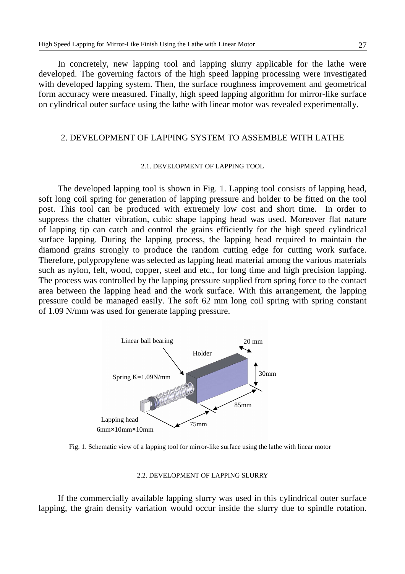In concretely, new lapping tool and lapping slurry applicable for the lathe were developed. The governing factors of the high speed lapping processing were investigated with developed lapping system. Then, the surface roughness improvement and geometrical form accuracy were measured. Finally, high speed lapping algorithm for mirror-like surface on cylindrical outer surface using the lathe with linear motor was revealed experimentally.

## 2. DEVELOPMENT OF LAPPING SYSTEM TO ASSEMBLE WITH LATHE

#### 2.1. DEVELOPMENT OF LAPPING TOOL

The developed lapping tool is shown in Fig. 1. Lapping tool consists of lapping head, soft long coil spring for generation of lapping pressure and holder to be fitted on the tool post. This tool can be produced with extremely low cost and short time. In order to suppress the chatter vibration, cubic shape lapping head was used. Moreover flat nature of lapping tip can catch and control the grains efficiently for the high speed cylindrical surface lapping. During the lapping process, the lapping head required to maintain the diamond grains strongly to produce the random cutting edge for cutting work surface. Therefore, polypropylene was selected as lapping head material among the various materials such as nylon, felt, wood, copper, steel and etc., for long time and high precision lapping. The process was controlled by the lapping pressure supplied from spring force to the contact area between the lapping head and the work surface. With this arrangement, the lapping pressure could be managed easily. The soft 62 mm long coil spring with spring constant of 1.09 N/mm was used for generate lapping pressure.



Fig. 1. Schematic view of a lapping tool for mirror-like surface using the lathe with linear motor

### 2.2. DEVELOPMENT OF LAPPING SLURRY

If the commercially available lapping slurry was used in this cylindrical outer surface lapping, the grain density variation would occur inside the slurry due to spindle rotation.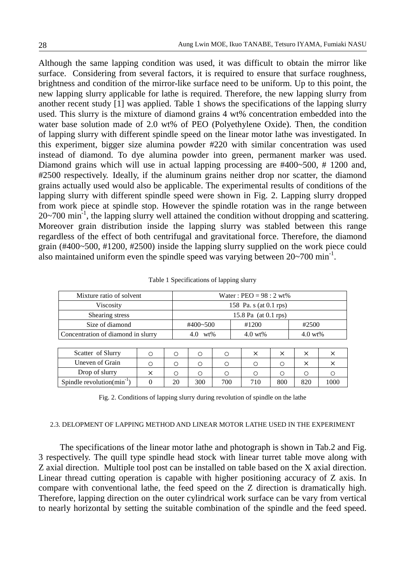Although the same lapping condition was used, it was difficult to obtain the mirror like surface. Considering from several factors, it is required to ensure that surface roughness, brightness and condition of the mirror-like surface need to be uniform. Up to this point, the new lapping slurry applicable for lathe is required. Therefore, the new lapping slurry from another recent study [1] was applied. Table 1 shows the specifications of the lapping slurry used. This slurry is the mixture of diamond grains 4 wt% concentration embedded into the water base solution made of 2.0 wt% of PEO (Polyethylene Oxide). Then, the condition of lapping slurry with different spindle speed on the linear motor lathe was investigated. In this experiment, bigger size alumina powder #220 with similar concentration was used instead of diamond. To dye alumina powder into green, permanent marker was used. Diamond grains which will use in actual lapping processing are #400~500, #1200 and, #2500 respectively. Ideally, if the aluminum grains neither drop nor scatter, the diamond grains actually used would also be applicable. The experimental results of conditions of the lapping slurry with different spindle speed were shown in Fig. 2. Lapping slurry dropped from work piece at spindle stop. However the spindle rotation was in the range between  $20~700$  min<sup>-1</sup>, the lapping slurry well attained the condition without dropping and scattering. Moreover grain distribution inside the lapping slurry was stabled between this range regardless of the effect of both centrifugal and gravitational force. Therefore, the diamond grain (#400~500, #1200, #2500) inside the lapping slurry supplied on the work piece could also maintained uniform even the spindle speed was varying between  $20~\text{--}700 \text{ min}^{-1}$ .

| Mixture ratio of solvent           |   |    | Water: $PEO = 98 : 2 wt\%$ |     |  |                    |          |                    |          |
|------------------------------------|---|----|----------------------------|-----|--|--------------------|----------|--------------------|----------|
| Viscosity                          |   |    | 158 Pa. s (at 0.1 rps)     |     |  |                    |          |                    |          |
| Shearing stress                    |   |    | 15.8 Pa (at 0.1 rps)       |     |  |                    |          |                    |          |
| Size of diamond                    |   |    | #400~500                   |     |  | #1200              |          | #2500              |          |
| Concentration of diamond in slurry |   |    | $4.0 \text{ wt\%}$         |     |  | $4.0 \text{ wt\%}$ |          | $4.0 \text{ wt\%}$ |          |
|                                    |   |    |                            |     |  |                    |          |                    |          |
| Scatter of Slurry                  | ∩ | ∩  | ∩                          | ∩   |  | $\times$           | $\times$ | ×                  | $\times$ |
| Uneven of Grain                    | Ω | ◯  | Ω                          | ∩   |  | ∩                  | Ω        | X                  | ×        |
| Drop of slurry                     |   | ∩  | ◯                          | ∩   |  | ∩                  | ∩        | ∩                  |          |
| Spindle revolution( $min^{-1}$ )   |   | 20 | 300                        | 700 |  | 710                | 800      | 820                | 1000     |

|  | Table 1 Specifications of lapping slurry |  |  |  |
|--|------------------------------------------|--|--|--|
|--|------------------------------------------|--|--|--|

Fig. 2. Conditions of lapping slurry during revolution of spindle on the lathe

#### 2.3. DELOPMENT OF LAPPING METHOD AND LINEAR MOTOR LATHE USED IN THE EXPERIMENT

 The specifications of the linear motor lathe and photograph is shown in Tab.2 and Fig. 3 respectively. The quill type spindle head stock with linear turret table move along with Z axial direction. Multiple tool post can be installed on table based on the X axial direction. Linear thread cutting operation is capable with higher positioning accuracy of Z axis. In compare with conventional lathe, the feed speed on the Z direction is dramatically high. Therefore, lapping direction on the outer cylindrical work surface can be vary from vertical to nearly horizontal by setting the suitable combination of the spindle and the feed speed.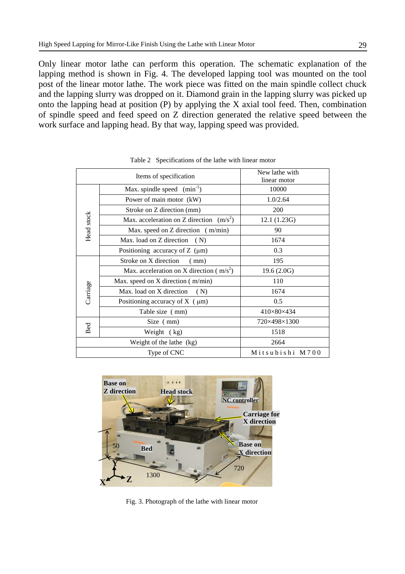Only linear motor lathe can perform this operation. The schematic explanation of the lapping method is shown in Fig. 4. The developed lapping tool was mounted on the tool post of the linear motor lathe. The work piece was fitted on the main spindle collect chuck and the lapping slurry was dropped on it. Diamond grain in the lapping slurry was picked up onto the lapping head at position (P) by applying the X axial tool feed. Then, combination of spindle speed and feed speed on Z direction generated the relative speed between the work surface and lapping head. By that way, lapping speed was provided.

|            | Items of specification                      | New lathe with<br>linear motor |  |  |
|------------|---------------------------------------------|--------------------------------|--|--|
|            | Max. spindle speed $(min^{-1})$             | 10000                          |  |  |
|            | Power of main motor (kW)                    | 1.0/2.64                       |  |  |
| Head stock | Stroke on Z direction (mm)                  | 200                            |  |  |
|            | Max. acceleration on Z direction $(m/s^2)$  | 12.1 (1.23G)                   |  |  |
|            | Max. speed on Z direction (m/min)           | 90                             |  |  |
|            | Max. load on Z direction<br>(N)             | 1674                           |  |  |
|            | Positioning accuracy of $Z(\mu m)$          | 0.3                            |  |  |
|            | Stroke on X direction<br>(mm)               | 195                            |  |  |
|            | Max. acceleration on X direction ( $m/s2$ ) | 19.6(2.0G)                     |  |  |
|            | Max. speed on X direction (m/min)           | 110                            |  |  |
| Carriage   | Max. load on X direction<br>(N)             | 1674                           |  |  |
|            | Positioning accuracy of $X(\mu m)$          | 0.5                            |  |  |
|            | Table size (mm)                             | 410×80×434                     |  |  |
| Size (mm)  |                                             | 720×498×1300                   |  |  |
| Bed        | Weight (kg)                                 | 1518                           |  |  |
|            | Weight of the lathe (kg)                    | 2664                           |  |  |
|            | Type of CNC                                 | Mitsubishi M700                |  |  |

Table 2 Specifications of the lathe with linear motor



Fig. 3. Photograph of the lathe with linear motor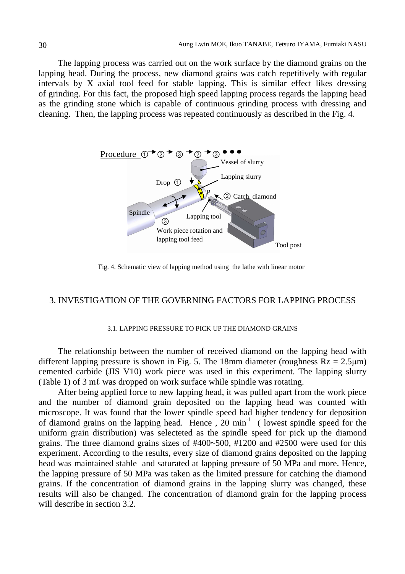The lapping process was carried out on the work surface by the diamond grains on the lapping head. During the process, new diamond grains was catch repetitively with regular intervals by X axial tool feed for stable lapping. This is similar effect likes dressing of grinding. For this fact, the proposed high speed lapping process regards the lapping head as the grinding stone which is capable of continuous grinding process with dressing and cleaning. Then, the lapping process was repeated continuously as described in the Fig. 4.



Fig. 4. Schematic view of lapping method using the lathe with linear motor

## 3. INVESTIGATION OF THE GOVERNING FACTORS FOR LAPPING PROCESS

#### 3.1. LAPPING PRESSURE TO PICK UP THE DIAMOND GRAINS

The relationship between the number of received diamond on the lapping head with different lapping pressure is shown in Fig. 5. The 18mm diameter (roughness  $Rz = 2.5 \mu m$ ) cemented carbide (JIS V10) work piece was used in this experiment. The lapping slurry (Table 1) of 3 mℓ was dropped on work surface while spindle was rotating.

After being applied force to new lapping head, it was pulled apart from the work piece and the number of diamond grain deposited on the lapping head was counted with microscope. It was found that the lower spindle speed had higher tendency for deposition of diamond grains on the lapping head. Hence  $\frac{1}{20}$  min<sup>-1</sup> (lowest spindle speed for the uniform grain distribution) was selecteted as the spindle speed for pick up the diamond grains. The three diamond grains sizes of #400~500, #1200 and #2500 were used for this experiment. According to the results, every size of diamond grains deposited on the lapping head was maintained stable and saturated at lapping pressure of 50 MPa and more. Hence, the lapping pressure of 50 MPa was taken as the limited pressure for catching the diamond grains. If the concentration of diamond grains in the lapping slurry was changed, these results will also be changed. The concentration of diamond grain for the lapping process will describe in section 3.2.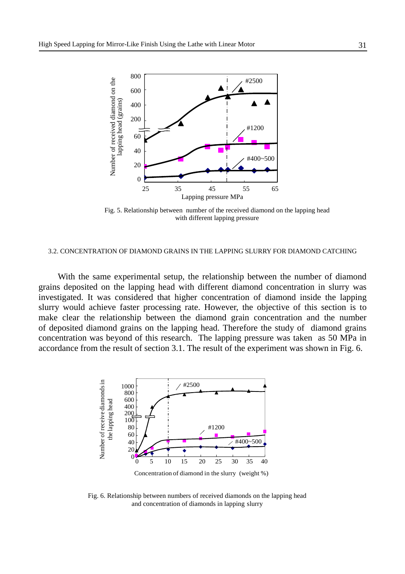

Fig. 5. Relationship between number of the received diamond on the lapping head with different lapping pressure

#### 3.2. CONCENTRATION OF DIAMOND GRAINS IN THE LAPPING SLURRY FOR DIAMOND CATCHING

With the same experimental setup, the relationship between the number of diamond grains deposited on the lapping head with different diamond concentration in slurry was investigated. It was considered that higher concentration of diamond inside the lapping slurry would achieve faster processing rate. However, the objective of this section is to make clear the relationship between the diamond grain concentration and the number of deposited diamond grains on the lapping head. Therefore the study of diamond grains concentration was beyond of this research. The lapping pressure was taken as 50 MPa in accordance from the result of section 3.1. The result of the experiment was shown in Fig. 6.



Fig. 6. Relationship between numbers of received diamonds on the lapping head and concentration of diamonds in lapping slurry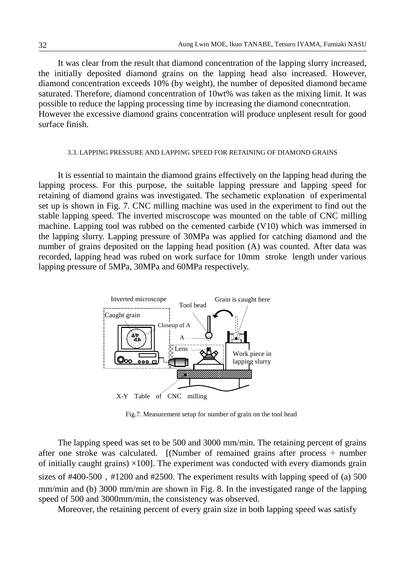It was clear from the result that diamond concentration of the lapping slurry increased, the initially deposited diamond grains on the lapping head also increased. However, diamond concentration exceeds 10% (by weight), the number of deposited diamond became saturated. Therefore, diamond concentration of 10wt% was taken as the mixing limit. It was possible to reduce the lapping processing time by increasing the diamond conecntration. However the excessive diamond grains concentration will produce unplesent result for good surface finish.

#### 3.3. LAPPING PRESSURE AND LAPPING SPEED FOR RETAINING OF DIAMOND GRAINS

It is essential to maintain the diamond grains effectively on the lapping head during the lapping process. For this purpose, the suitable lapping pressure and lapping speed for retaining of diamond grains was investigated. The sechametic explanation of experimental set up is shown in Fig. 7. CNC milling machine was used in the experiment to find out the stable lapping speed. The inverted miscroscope was mounted on the table of CNC milling machine. Lapping tool was rubbed on the cemented carbide (V10) which was immersed in the lapping slurry. Lapping pressure of 30MPa was applied for catching diamond and the number of grains deposited on the lapping head position (A) was counted. After data was recorded, lapping head was rubed on work surface for 10mm stroke length under various lapping pressure of 5MPa, 30MPa and 60MPa respectively.



Fig.7. Measurement setup for number of grain on the tool head

 The lapping speed was set to be 500 and 3000 mm/min. The retaining percent of grains after one stroke was calculated. [(Number of remained grains after process  $\div$  number of initially caught grains)  $\times$ 100]. The experiment was conducted with every diamonds grain sizes of  $\#400-500$ ,  $\#1200$  and  $\#2500$ . The experiment results with lapping speed of (a) 500 mm/min and (b) 3000 mm/min are shown in Fig. 8. In the investigated range of the lapping speed of 500 and 3000mm/min, the consistency was observed.

Moreover, the retaining percent of every grain size in both lapping speed was satisfy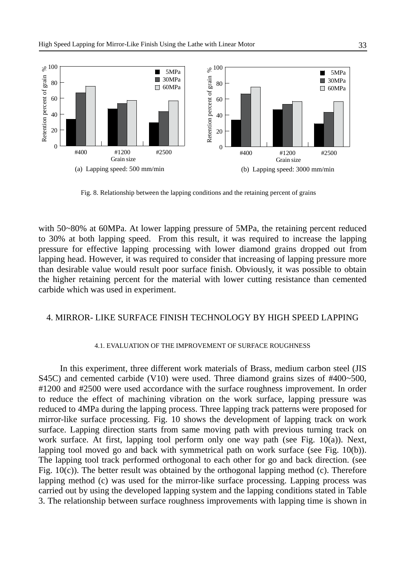

Fig. 8. Relationship between the lapping conditions and the retaining percent of grains

with 50~80% at 60MPa. At lower lapping pressure of 5MPa, the retaining percent reduced to 30% at both lapping speed. From this result, it was required to increase the lapping pressure for effective lapping processing with lower diamond grains dropped out from lapping head. However, it was required to consider that increasing of lapping pressure more than desirable value would result poor surface finish. Obviously, it was possible to obtain the higher retaining percent for the material with lower cutting resistance than cemented carbide which was used in experiment.

# 4. MIRROR- LIKE SURFACE FINISH TECHNOLOGY BY HIGH SPEED LAPPING

## 4.1. EVALUATION OF THE IMPROVEMENT OF SURFACE ROUGHNESS

 In this experiment, three different work materials of Brass, medium carbon steel (JIS S45C) and cemented carbide (V10) were used. Three diamond grains sizes of #400~500, #1200 and #2500 were used accordance with the surface roughness improvement. In order to reduce the effect of machining vibration on the work surface, lapping pressure was reduced to 4MPa during the lapping process. Three lapping track patterns were proposed for mirror-like surface processing. Fig. 10 shows the development of lapping track on work surface. Lapping direction starts from same moving path with previous turning track on work surface. At first, lapping tool perform only one way path (see Fig. 10(a)). Next, lapping tool moved go and back with symmetrical path on work surface (see Fig. 10(b)). The lapping tool track performed orthogonal to each other for go and back direction. (see Fig.  $10(c)$ ). The better result was obtained by the orthogonal lapping method (c). Therefore lapping method (c) was used for the mirror-like surface processing. Lapping process was carried out by using the developed lapping system and the lapping conditions stated in Table 3. The relationship between surface roughness improvements with lapping time is shown in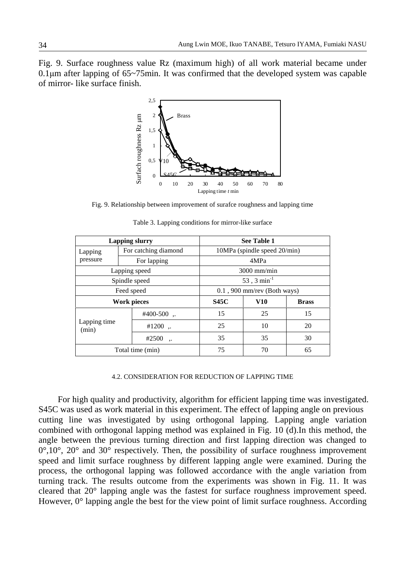Fig. 9. Surface roughness value Rz (maximum high) of all work material became under 0.1µm after lapping of 65~75min. It was confirmed that the developed system was capable of mirror- like surface finish.



Fig. 9. Relationship between improvement of surafce roughness and lapping time

| <b>Lapping slurry</b> |  |                                | <b>See Table 1</b>           |              |    |  |  |
|-----------------------|--|--------------------------------|------------------------------|--------------|----|--|--|
| Lapping               |  | For catching diamond           | 10MPa (spindle speed 20/min) |              |    |  |  |
| pressure              |  | For lapping                    | 4MPa                         |              |    |  |  |
| Lapping speed         |  |                                | $3000$ mm/min                |              |    |  |  |
| Spindle speed         |  |                                | 53, 3 $min^{-1}$             |              |    |  |  |
| Feed speed            |  | $0.1$ , 900 mm/rev (Both ways) |                              |              |    |  |  |
| <b>Work pieces</b>    |  | <b>S45C</b>                    | <b>V10</b>                   | <b>Brass</b> |    |  |  |
| Lapping time<br>(min) |  | $#400-500$ .                   | 15                           | 25           | 15 |  |  |
|                       |  | #1200 $\ldots$                 | 25                           | 10           | 20 |  |  |
|                       |  | #2500                          | 35                           | 35           | 30 |  |  |
| Total time (min)      |  |                                | 75                           | 70           | 65 |  |  |

Table 3. Lapping conditions for mirror-like surface

#### 4.2. CONSIDERATION FOR REDUCTION OF LAPPING TIME

For high quality and productivity, algorithm for efficient lapping time was investigated. S45C was used as work material in this experiment. The effect of lapping angle on previous cutting line was investigated by using orthogonal lapping. Lapping angle variation combined with orthogonal lapping method was explained in Fig. 10 (d).In this method, the angle between the previous turning direction and first lapping direction was changed to  $0^{\circ},10^{\circ}, 20^{\circ}$  and  $30^{\circ}$  respectively. Then, the possibility of surface roughness improvement speed and limit surface roughness by different lapping angle were examined. During the process, the orthogonal lapping was followed accordance with the angle variation from turning track. The results outcome from the experiments was shown in Fig. 11. It was cleared that 20° lapping angle was the fastest for surface roughness improvement speed. However, 0° lapping angle the best for the view point of limit surface roughness. According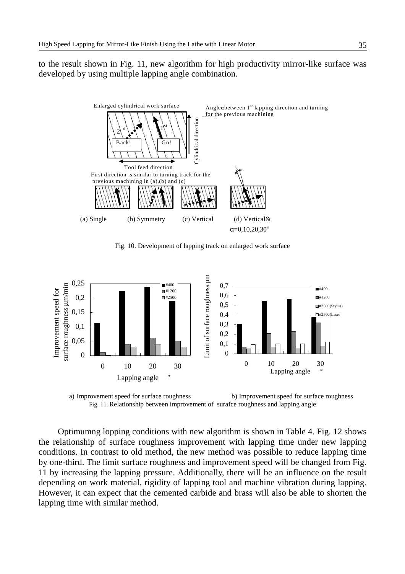to the result shown in Fig. 11, new algorithm for high productivity mirror-like surface was developed by using multiple lapping angle combination.



Fig. 10. Development of lapping track on enlarged work surface



a) Improvement speed for surface roughness b) Improvement speed for surface roughness Fig. 11. Relationship between improvement of surafce roughness and lapping angle

Optimumng lopping conditions with new algorithm is shown in Table 4. Fig. 12 shows the relationship of surface roughness improvement with lapping time under new lapping conditions. In contrast to old method, the new method was possible to reduce lapping time by one-third. The limit surface roughness and improvement speed will be changed from Fig. 11 by increasing the lapping pressure. Additionally, there will be an influence on the result depending on work material, rigidity of lapping tool and machine vibration during lapping. However, it can expect that the cemented carbide and brass will also be able to shorten the lapping time with similar method.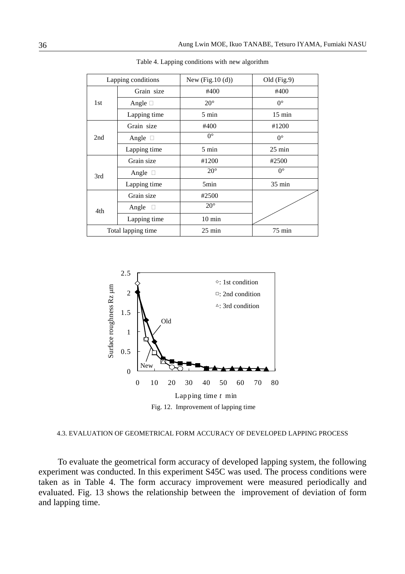| Lapping conditions |                 | New $(Fig.10(d))$ | Old (Fig.9)      |
|--------------------|-----------------|-------------------|------------------|
| Grain size         |                 | #400              | #400             |
| 1st                | Angle $\square$ | $20^{\circ}$      | $0^{\circ}$      |
|                    | Lapping time    | $5 \text{ min}$   | $15 \text{ min}$ |
|                    | Grain size      | #400              | #1200            |
| 2nd                | Angle $\Box$    | $0^{\circ}$       | $0^{\circ}$      |
|                    | Lapping time    | $5 \text{ min}$   | $25 \text{ min}$ |
|                    | Grain size      | #1200             | #2500            |
| 3rd                | Angle $\square$ | $20^{\circ}$      | $0^{\circ}$      |
|                    | Lapping time    | 5min              | $35 \text{ min}$ |
|                    | Grain size      | #2500             |                  |
| 4th                | Angle<br>$\Box$ | $20^{\circ}$      |                  |
|                    | Lapping time    | $10 \text{ min}$  |                  |
| Total lapping time |                 | $25 \text{ min}$  | $75 \text{ min}$ |

Table 4. Lapping conditions with new algorithm



4.3. EVALUATION OF GEOMETRICAL FORM ACCURACY OF DEVELOPED LAPPING PROCESS

To evaluate the geometrical form accuracy of developed lapping system, the following experiment was conducted. In this experiment S45C was used. The process conditions were taken as in Table 4. The form accuracy improvement were measured periodically and evaluated. Fig. 13 shows the relationship between the improvement of deviation of form and lapping time.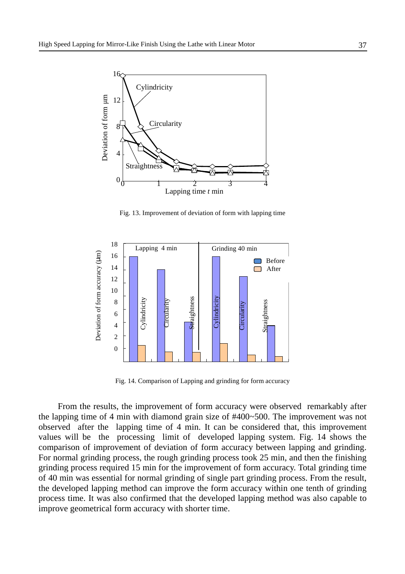

Fig. 13. Improvement of deviation of form with lapping time



Fig. 14. Comparison of Lapping and grinding for form accuracy

From the results, the improvement of form accuracy were observed remarkably after the lapping time of 4 min with diamond grain size of #400~500. The improvement was not observed after the lapping time of 4 min. It can be considered that, this improvement values will be the processing limit of developed lapping system. Fig. 14 shows the comparison of improvement of deviation of form accuracy between lapping and grinding. For normal grinding process, the rough grinding process took 25 min, and then the finishing grinding process required 15 min for the improvement of form accuracy. Total grinding time of 40 min was essential for normal grinding of single part grinding process. From the result, the developed lapping method can improve the form accuracy within one tenth of grinding process time. It was also confirmed that the developed lapping method was also capable to improve geometrical form accuracy with shorter time.